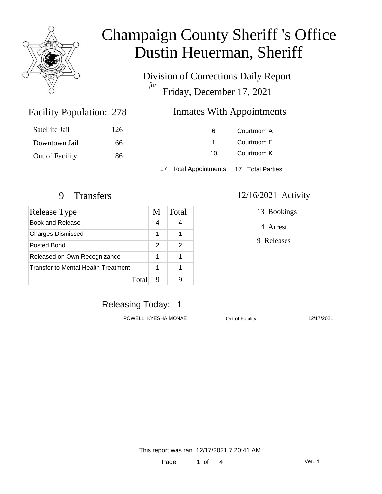

Division of Corrections Daily Report *for* Friday, December 17, 2021

#### Facility Population: 278

#### Inmates With Appointments

| Satellite Jail  | 126 | 6                                      | Courtroom A |  |
|-----------------|-----|----------------------------------------|-------------|--|
| Downtown Jail   | 66  |                                        | Courtroom E |  |
| Out of Facility | 86  | 10.                                    | Courtroom K |  |
|                 |     | 17 Total Appointments 17 Total Parties |             |  |

| <b>Release Type</b>                 | M | Total |
|-------------------------------------|---|-------|
| <b>Book and Release</b>             | 4 |       |
| <b>Charges Dismissed</b>            | 1 |       |
| Posted Bond                         | 2 |       |
| Released on Own Recognizance        | 1 |       |
| Transfer to Mental Health Treatment |   |       |
| Total                               |   |       |

#### 9 Transfers 12/16/2021 Activity

13 Bookings

14 Arrest

9 Releases

## Releasing Today: 1

POWELL, KYESHA MONAE **Out of Facility** 12/17/2021

This report was ran 12/17/2021 7:20:41 AM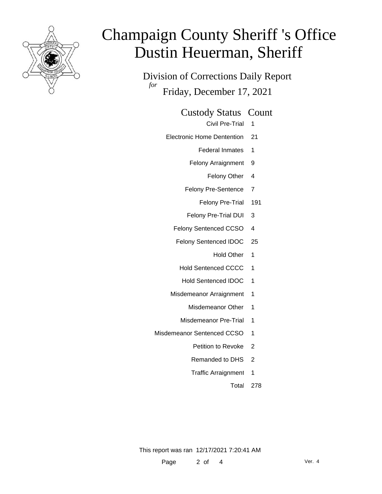

Division of Corrections Daily Report *for* Friday, December 17, 2021

Custody Status Count

Civil Pre-Trial 1

- Electronic Home Dentention 21
	- Federal Inmates 1
	- Felony Arraignment 9
		- Felony Other 4
	- Felony Pre-Sentence 7
		- Felony Pre-Trial 191
	- Felony Pre-Trial DUI 3
	- Felony Sentenced CCSO 4
	- Felony Sentenced IDOC 25
		- Hold Other 1
		- Hold Sentenced CCCC 1
		- Hold Sentenced IDOC 1
	- Misdemeanor Arraignment 1
		- Misdemeanor Other 1
		- Misdemeanor Pre-Trial 1
- Misdemeanor Sentenced CCSO 1
	- Petition to Revoke 2
	- Remanded to DHS 2
	- Traffic Arraignment 1
		- Total 278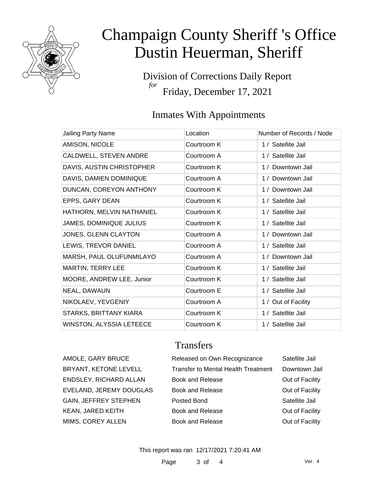

Division of Corrections Daily Report *for* Friday, December 17, 2021

## Inmates With Appointments

| Jailing Party Name             | Location    | Number of Records / Node |
|--------------------------------|-------------|--------------------------|
| AMISON, NICOLE                 | Courtroom K | 1 / Satellite Jail       |
| CALDWELL, STEVEN ANDRE         | Courtroom A | 1 / Satellite Jail       |
| DAVIS, AUSTIN CHRISTOPHER      | Courtroom K | 1 / Downtown Jail        |
| DAVIS, DAMIEN DOMINIQUE        | Courtroom A | 1 / Downtown Jail        |
| DUNCAN, COREYON ANTHONY        | Courtroom K | 1 / Downtown Jail        |
| EPPS, GARY DEAN                | Courtroom K | 1 / Satellite Jail       |
| HATHORN, MELVIN NATHANIEL      | Courtroom K | 1 / Satellite Jail       |
| <b>JAMES, DOMINIQUE JULIUS</b> | Courtroom K | 1 / Satellite Jail       |
| JONES, GLENN CLAYTON           | Courtroom A | 1 / Downtown Jail        |
| LEWIS, TREVOR DANIEL           | Courtroom A | 1 / Satellite Jail       |
| MARSH, PAUL OLUFUNMILAYO       | Courtroom A | 1 / Downtown Jail        |
| MARTIN, TERRY LEE              | Courtroom K | 1 / Satellite Jail       |
| MOORE, ANDREW LEE, Junior      | Courtroom K | 1 / Satellite Jail       |
| NEAL, DAWAUN                   | Courtroom E | 1 / Satellite Jail       |
| NIKOLAEV, YEVGENIY             | Courtroom A | 1 / Out of Facility      |
| STARKS, BRITTANY KIARA         | Courtroom K | 1 / Satellite Jail       |
| WINSTON, ALYSSIA LETEECE       | Courtroom K | 1 / Satellite Jail       |

### **Transfers**

| AMOLE, GARY BRUCE            | Released on Own Recognizance               | Satellite Jail  |
|------------------------------|--------------------------------------------|-----------------|
| BRYANT, KETONE LEVELL        | <b>Transfer to Mental Health Treatment</b> | Downtown Jail   |
| ENDSLEY, RICHARD ALLAN       | <b>Book and Release</b>                    | Out of Facility |
| EVELAND, JEREMY DOUGLAS      | <b>Book and Release</b>                    | Out of Facility |
| <b>GAIN, JEFFREY STEPHEN</b> | Posted Bond                                | Satellite Jail  |
| KEAN, JARED KEITH            | <b>Book and Release</b>                    | Out of Facility |
| MIMS, COREY ALLEN            | <b>Book and Release</b>                    | Out of Facility |